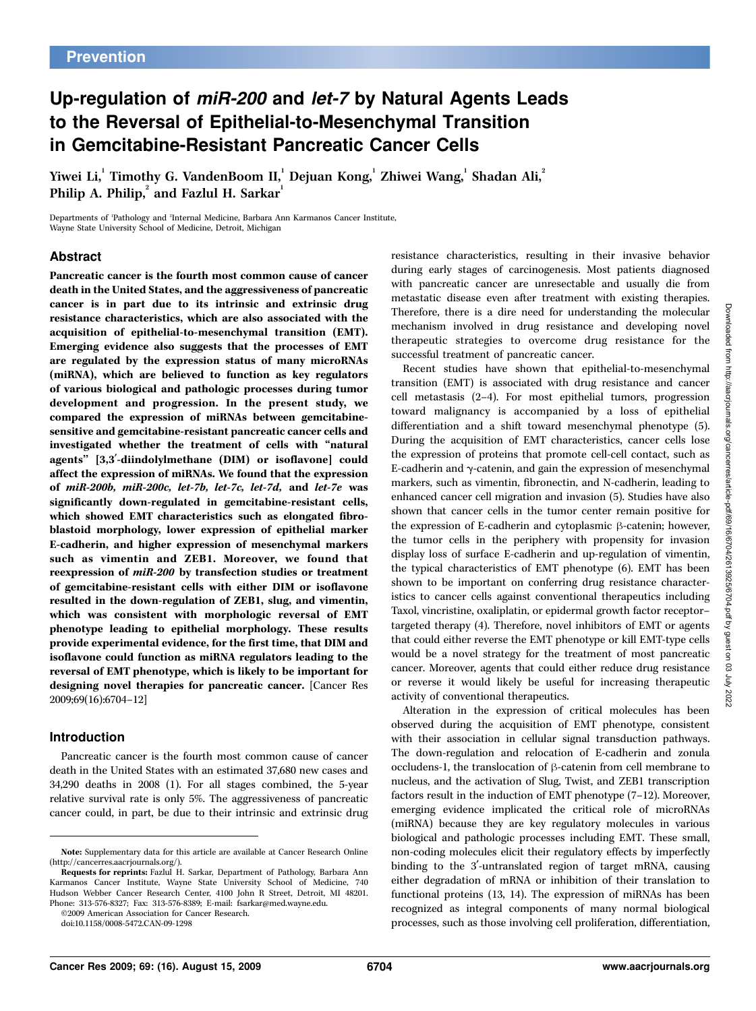# Up-regulation of miR-200 and let-7 by Natural Agents Leads to the Reversal of Epithelial-to-Mesenchymal Transition in Gemcitabine-Resistant Pancreatic Cancer Cells

Yiwei Li, $^{\rm l}$  Timothy G. VandenBoom II, $^{\rm l}$  Dejuan Kong, $^{\rm l}$  Zhiwei Wang, $^{\rm l}$  Shadan Ali, $^{\rm l}$ Philip A. Philip, $^{2}$  and Fazlul H. Sarkar $^{1}$ 

Departments of <sup>1</sup> Pathology and <sup>2</sup> Internal Medicine, Barbara Ann Karmanos Cancer Institute, Wayne State University School of Medicine, Detroit, Michigan

### Abstract

Pancreatic cancer is the fourth most common cause of cancer death in the United States, and the aggressiveness of pancreatic cancer is in part due to its intrinsic and extrinsic drug resistance characteristics, which are also associated with the acquisition of epithelial-to-mesenchymal transition (EMT). Emerging evidence also suggests that the processes of EMT are regulated by the expression status of many microRNAs (miRNA), which are believed to function as key regulators of various biological and pathologic processes during tumor development and progression. In the present study, we compared the expression of miRNAs between gemcitabinesensitive and gemcitabine-resistant pancreatic cancer cells and investigated whether the treatment of cells with ''natural agents" [3,3'-diindolylmethane (DIM) or isoflavone] could affect the expression of miRNAs. We found that the expression of miR-200b, miR-200c, let-7b, let-7c, let-7d, and let-7e was significantly down-regulated in gemcitabine-resistant cells, which showed EMT characteristics such as elongated fibroblastoid morphology, lower expression of epithelial marker E-cadherin, and higher expression of mesenchymal markers such as vimentin and ZEB1. Moreover, we found that reexpression of miR-200 by transfection studies or treatment of gemcitabine-resistant cells with either DIM or isoflavone resulted in the down-regulation of ZEB1, slug, and vimentin, which was consistent with morphologic reversal of EMT phenotype leading to epithelial morphology. These results provide experimental evidence, for the first time, that DIM and isoflavone could function as miRNA regulators leading to the reversal of EMT phenotype, which is likely to be important for designing novel therapies for pancreatic cancer. [Cancer Res 2009;69(16):6704–12]

#### Introduction

Pancreatic cancer is the fourth most common cause of cancer death in the United States with an estimated 37,680 new cases and 34,290 deaths in 2008 (1). For all stages combined, the 5-year relative survival rate is only 5%. The aggressiveness of pancreatic cancer could, in part, be due to their intrinsic and extrinsic drug

Requests for reprints: Fazlul H. Sarkar, Department of Pathology, Barbara Ann Karmanos Cancer Institute, Wayne State University School of Medicine, 740 Hudson Webber Cancer Research Center, 4100 John R Street, Detroit, MI 48201. Phone: 313-576-8327; Fax: 313-576-8389; E-mail: fsarkar@med.wayne.edu.

©2009 American Association for Cancer Research. doi:10.1158/0008-5472.CAN-09-1298

resistance characteristics, resulting in their invasive behavior during early stages of carcinogenesis. Most patients diagnosed with pancreatic cancer are unresectable and usually die from metastatic disease even after treatment with existing therapies. Therefore, there is a dire need for understanding the molecular mechanism involved in drug resistance and developing novel therapeutic strategies to overcome drug resistance for the successful treatment of pancreatic cancer.

Recent studies have shown that epithelial-to-mesenchymal transition (EMT) is associated with drug resistance and cancer cell metastasis (2–4). For most epithelial tumors, progression toward malignancy is accompanied by a loss of epithelial differentiation and a shift toward mesenchymal phenotype (5). During the acquisition of EMT characteristics, cancer cells lose the expression of proteins that promote cell-cell contact, such as E-cadherin and  $\gamma$ -catenin, and gain the expression of mesenchymal markers, such as vimentin, fibronectin, and N-cadherin, leading to enhanced cancer cell migration and invasion (5). Studies have also shown that cancer cells in the tumor center remain positive for the expression of E-cadherin and cytoplasmic  $\beta$ -catenin; however, the tumor cells in the periphery with propensity for invasion display loss of surface E-cadherin and up-regulation of vimentin, the typical characteristics of EMT phenotype (6). EMT has been shown to be important on conferring drug resistance characteristics to cancer cells against conventional therapeutics including Taxol, vincristine, oxaliplatin, or epidermal growth factor receptor– targeted therapy (4). Therefore, novel inhibitors of EMT or agents that could either reverse the EMT phenotype or kill EMT-type cells would be a novel strategy for the treatment of most pancreatic cancer. Moreover, agents that could either reduce drug resistance or reverse it would likely be useful for increasing therapeutic activity of conventional therapeutics.

Alteration in the expression of critical molecules has been observed during the acquisition of EMT phenotype, consistent with their association in cellular signal transduction pathways. The down-regulation and relocation of E-cadherin and zonula occludens-1, the translocation of  $\beta$ -catenin from cell membrane to nucleus, and the activation of Slug, Twist, and ZEB1 transcription factors result in the induction of EMT phenotype (7–12). Moreover, emerging evidence implicated the critical role of microRNAs (miRNA) because they are key regulatory molecules in various biological and pathologic processes including EMT. These small, non-coding molecules elicit their regulatory effects by imperfectly binding to the 3'-untranslated region of target mRNA, causing either degradation of mRNA or inhibition of their translation to functional proteins (13, 14). The expression of miRNAs has been recognized as integral components of many normal biological processes, such as those involving cell proliferation, differentiation,

Note: Supplementary data for this article are available at Cancer Research Online (http://cancerres.aacrjournals.org/).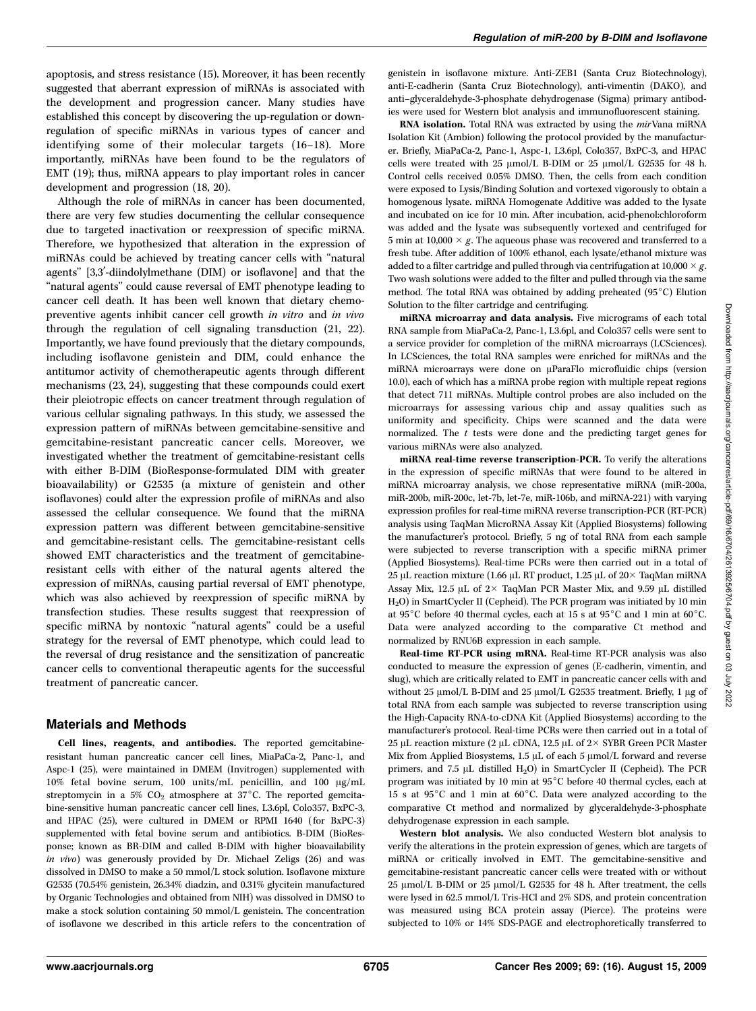apoptosis, and stress resistance (15). Moreover, it has been recently suggested that aberrant expression of miRNAs is associated with the development and progression cancer. Many studies have established this concept by discovering the up-regulation or downregulation of specific miRNAs in various types of cancer and identifying some of their molecular targets (16–18). More importantly, miRNAs have been found to be the regulators of EMT (19); thus, miRNA appears to play important roles in cancer development and progression (18, 20).

Although the role of miRNAs in cancer has been documented, there are very few studies documenting the cellular consequence due to targeted inactivation or reexpression of specific miRNA. Therefore, we hypothesized that alteration in the expression of miRNAs could be achieved by treating cancer cells with ''natural agents" [3,3'-diindolylmethane (DIM) or isoflavone] and that the "natural agents" could cause reversal of EMT phenotype leading to cancer cell death. It has been well known that dietary chemopreventive agents inhibit cancer cell growth in vitro and in vivo through the regulation of cell signaling transduction (21, 22). Importantly, we have found previously that the dietary compounds, including isoflavone genistein and DIM, could enhance the antitumor activity of chemotherapeutic agents through different mechanisms (23, 24), suggesting that these compounds could exert their pleiotropic effects on cancer treatment through regulation of various cellular signaling pathways. In this study, we assessed the expression pattern of miRNAs between gemcitabine-sensitive and gemcitabine-resistant pancreatic cancer cells. Moreover, we investigated whether the treatment of gemcitabine-resistant cells with either B-DIM (BioResponse-formulated DIM with greater bioavailability) or G2535 (a mixture of genistein and other isoflavones) could alter the expression profile of miRNAs and also assessed the cellular consequence. We found that the miRNA expression pattern was different between gemcitabine-sensitive and gemcitabine-resistant cells. The gemcitabine-resistant cells showed EMT characteristics and the treatment of gemcitabineresistant cells with either of the natural agents altered the expression of miRNAs, causing partial reversal of EMT phenotype, which was also achieved by reexpression of specific miRNA by transfection studies. These results suggest that reexpression of specific miRNA by nontoxic "natural agents" could be a useful strategy for the reversal of EMT phenotype, which could lead to the reversal of drug resistance and the sensitization of pancreatic cancer cells to conventional therapeutic agents for the successful treatment of pancreatic cancer.

## Materials and Methods

Cell lines, reagents, and antibodies. The reported gemcitabineresistant human pancreatic cancer cell lines, MiaPaCa-2, Panc-1, and Aspc-1 (25), were maintained in DMEM (Invitrogen) supplemented with  $10\%$  fetal bovine serum,  $100 \text{ units/mL}$  penicillin, and  $100 \text{ µg/mL}$ streptomycin in a 5%  $CO<sub>2</sub>$  atmosphere at 37°C. The reported gemcitabine-sensitive human pancreatic cancer cell lines, L3.6pl, Colo357, BxPC-3, and HPAC (25), were cultured in DMEM or RPMI 1640 (for BxPC-3) supplemented with fetal bovine serum and antibiotics. B-DIM (BioResponse; known as BR-DIM and called B-DIM with higher bioavailability in vivo) was generously provided by Dr. Michael Zeligs (26) and was dissolved in DMSO to make a 50 mmol/L stock solution. Isoflavone mixture G2535 (70.54% genistein, 26.34% diadzin, and 0.31% glycitein manufactured by Organic Technologies and obtained from NIH) was dissolved in DMSO to make a stock solution containing 50 mmol/L genistein. The concentration of isoflavone we described in this article refers to the concentration of genistein in isoflavone mixture. Anti-ZEB1 (Santa Cruz Biotechnology), anti-E-cadherin (Santa Cruz Biotechnology), anti-vimentin (DAKO), and anti–glyceraldehyde-3-phosphate dehydrogenase (Sigma) primary antibodies were used for Western blot analysis and immunofluorescent staining.

RNA isolation. Total RNA was extracted by using the mirVana miRNA Isolation Kit (Ambion) following the protocol provided by the manufacturer. Briefly, MiaPaCa-2, Panc-1, Aspc-1, L3.6pl, Colo357, BxPC-3, and HPAC cells were treated with 25  $\mu$ mol/L B-DIM or 25  $\mu$ mol/L G2535 for 48 h. Control cells received 0.05% DMSO. Then, the cells from each condition were exposed to Lysis/Binding Solution and vortexed vigorously to obtain a homogenous lysate. miRNA Homogenate Additive was added to the lysate and incubated on ice for 10 min. After incubation, acid-phenol:chloroform was added and the lysate was subsequently vortexed and centrifuged for 5 min at 10,000  $\times$  g. The aqueous phase was recovered and transferred to a fresh tube. After addition of 100% ethanol, each lysate/ethanol mixture was added to a filter cartridge and pulled through via centrifugation at  $10,000 \times g$ . Two wash solutions were added to the filter and pulled through via the same method. The total RNA was obtained by adding preheated  $(95^{\circ}C)$  Elution Solution to the filter cartridge and centrifuging.

miRNA microarray and data analysis. Five micrograms of each total RNA sample from MiaPaCa-2, Panc-1, L3.6pl, and Colo357 cells were sent to a service provider for completion of the miRNA microarrays (LCSciences). In LCSciences, the total RNA samples were enriched for miRNAs and the miRNA microarrays were done on µParaFlo microfluidic chips (version 10.0), each of which has a miRNA probe region with multiple repeat regions that detect 711 miRNAs. Multiple control probes are also included on the microarrays for assessing various chip and assay qualities such as uniformity and specificity. Chips were scanned and the data were normalized. The t tests were done and the predicting target genes for various miRNAs were also analyzed.

miRNA real-time reverse transcription-PCR. To verify the alterations in the expression of specific miRNAs that were found to be altered in miRNA microarray analysis, we chose representative miRNA (miR-200a, miR-200b, miR-200c, let-7b, let-7e, miR-106b, and miRNA-221) with varying expression profiles for real-time miRNA reverse transcription-PCR (RT-PCR) analysis using TaqMan MicroRNA Assay Kit (Applied Biosystems) following the manufacturer's protocol. Briefly, 5 ng of total RNA from each sample were subjected to reverse transcription with a specific miRNA primer (Applied Biosystems). Real-time PCRs were then carried out in a total of 25 µL reaction mixture (1.66 µL RT product, 1.25 µL of  $20\times$  TaqMan miRNA Assay Mix, 12.5  $\mu$ L of 2 $\times$  TaqMan PCR Master Mix, and 9.59  $\mu$ L distilled H2O) in SmartCycler II (Cepheid). The PCR program was initiated by 10 min at 95°C before 40 thermal cycles, each at 15 s at 95°C and 1 min at 60°C. Data were analyzed according to the comparative Ct method and normalized by RNU6B expression in each sample.

Real-time RT-PCR using mRNA. Real-time RT-PCR analysis was also conducted to measure the expression of genes (E-cadherin, vimentin, and slug), which are critically related to EMT in pancreatic cancer cells with and without 25  $\mu$ mol/L B-DIM and 25  $\mu$ mol/L G2535 treatment. Briefly, 1  $\mu$ g of total RNA from each sample was subjected to reverse transcription using the High-Capacity RNA-to-cDNA Kit (Applied Biosystems) according to the manufacturer's protocol. Real-time PCRs were then carried out in a total of 25 µL reaction mixture (2 µL cDNA, 12.5 µL of  $2\times$  SYBR Green PCR Master Mix from Applied Biosystems,  $1.5 \mu L$  of each  $5 \mu mol/L$  forward and reverse primers, and 7.5  $\mu$ L distilled H<sub>2</sub>O) in SmartCycler II (Cepheid). The PCR program was initiated by 10 min at  $95^{\circ}$ C before 40 thermal cycles, each at 15 s at  $95^{\circ}$ C and 1 min at  $60^{\circ}$ C. Data were analyzed according to the comparative Ct method and normalized by glyceraldehyde-3-phosphate dehydrogenase expression in each sample.

Western blot analysis. We also conducted Western blot analysis to verify the alterations in the protein expression of genes, which are targets of miRNA or critically involved in EMT. The gemcitabine-sensitive and gemcitabine-resistant pancreatic cancer cells were treated with or without  $25 \text{ }\mu\text{mol/L B-DIM}$  or  $25 \text{ }\mu\text{mol/L G}$   $2535$  for 48 h. After treatment, the cells were lysed in 62.5 mmol/L Tris-HCl and 2% SDS, and protein concentration was measured using BCA protein assay (Pierce). The proteins were subjected to 10% or 14% SDS-PAGE and electrophoretically transferred to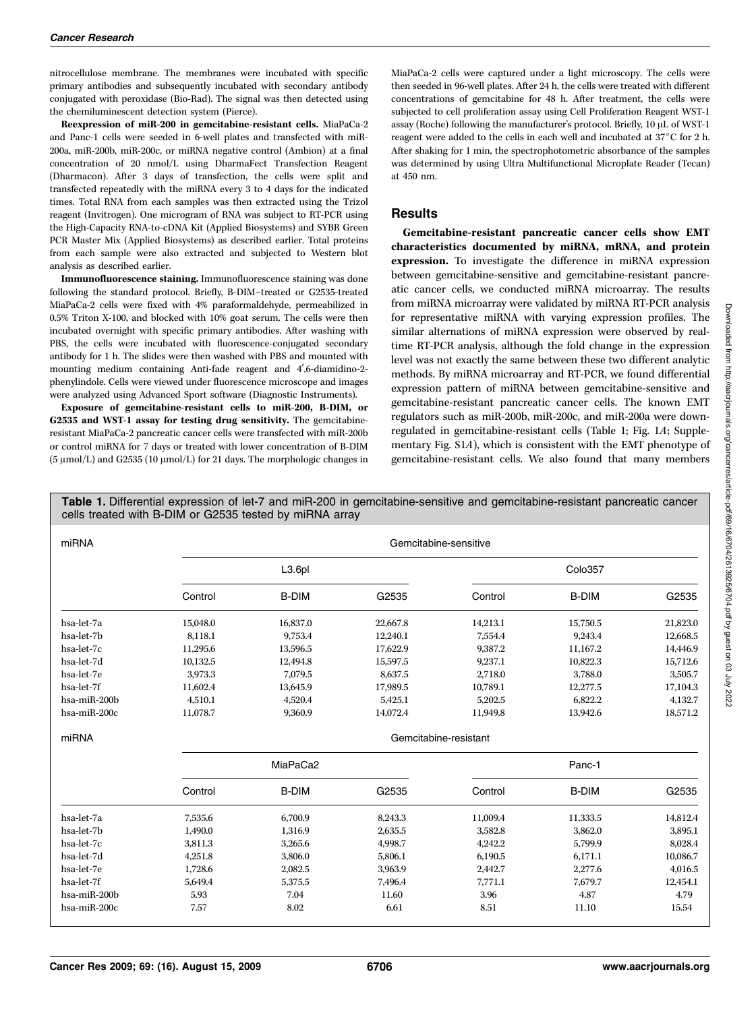nitrocellulose membrane. The membranes were incubated with specific primary antibodies and subsequently incubated with secondary antibody conjugated with peroxidase (Bio-Rad). The signal was then detected using the chemiluminescent detection system (Pierce).

Reexpression of miR-200 in gemcitabine-resistant cells. MiaPaCa-2 and Panc-1 cells were seeded in 6-well plates and transfected with miR-200a, miR-200b, miR-200c, or miRNA negative control (Ambion) at a final concentration of 20 nmol/L using DharmaFect Transfection Reagent (Dharmacon). After 3 days of transfection, the cells were split and transfected repeatedly with the miRNA every 3 to 4 days for the indicated times. Total RNA from each samples was then extracted using the Trizol reagent (Invitrogen). One microgram of RNA was subject to RT-PCR using the High-Capacity RNA-to-cDNA Kit (Applied Biosystems) and SYBR Green PCR Master Mix (Applied Biosystems) as described earlier. Total proteins from each sample were also extracted and subjected to Western blot analysis as described earlier.

Immunofluorescence staining. Immunofluorescence staining was done following the standard protocol. Briefly, B-DIM–treated or G2535-treated MiaPaCa-2 cells were fixed with 4% paraformaldehyde, permeabilized in 0.5% Triton X-100, and blocked with 10% goat serum. The cells were then incubated overnight with specific primary antibodies. After washing with PBS, the cells were incubated with fluorescence-conjugated secondary antibody for 1 h. The slides were then washed with PBS and mounted with mounting medium containing Anti-fade reagent and 4',6-diamidino-2phenylindole. Cells were viewed under fluorescence microscope and images were analyzed using Advanced Sport software (Diagnostic Instruments).

Exposure of gemcitabine-resistant cells to miR-200, B-DIM, or G2535 and WST-1 assay for testing drug sensitivity. The gemcitabineresistant MiaPaCa-2 pancreatic cancer cells were transfected with miR-200b or control miRNA for 7 days or treated with lower concentration of B-DIM  $(5 \mu \text{mol/L})$  and G2535 (10  $\mu \text{mol/L}$ ) for 21 days. The morphologic changes in MiaPaCa-2 cells were captured under a light microscopy. The cells were then seeded in 96-well plates. After 24 h, the cells were treated with different concentrations of gemcitabine for 48 h. After treatment, the cells were subjected to cell proliferation assay using Cell Proliferation Reagent WST-1 assay (Roche) following the manufacturer's protocol. Briefly,  $10 \mu L$  of WST-1 reagent were added to the cells in each well and incubated at  $37^{\circ}$ C for 2 h. After shaking for 1 min, the spectrophotometric absorbance of the samples was determined by using Ultra Multifunctional Microplate Reader (Tecan) at 450 nm.

#### **Results**

Gemcitabine-resistant pancreatic cancer cells show EMT characteristics documented by miRNA, mRNA, and protein expression. To investigate the difference in miRNA expression between gemcitabine-sensitive and gemcitabine-resistant pancreatic cancer cells, we conducted miRNA microarray. The results from miRNA microarray were validated by miRNA RT-PCR analysis for representative miRNA with varying expression profiles. The similar alternations of miRNA expression were observed by realtime RT-PCR analysis, although the fold change in the expression level was not exactly the same between these two different analytic methods. By miRNA microarray and RT-PCR, we found differential expression pattern of miRNA between gemcitabine-sensitive and gemcitabine-resistant pancreatic cancer cells. The known EMT regulators such as miR-200b, miR-200c, and miR-200a were downregulated in gemcitabine-resistant cells (Table 1; Fig. 1A; Supplementary Fig. S1A), which is consistent with the EMT phenotype of gemcitabine-resistant cells. We also found that many members

Table 1. Differential expression of let-7 and miR-200 in gemcitabine-sensitive and gemcitabine-resistant pancreatic cancer cells treated with B-DIM or G2535 tested by miRNA array

| miRNA        | Gemcitabine-sensitive |              |          |          |              |          |
|--------------|-----------------------|--------------|----------|----------|--------------|----------|
|              | L <sub>3.6pl</sub>    |              |          | Colo357  |              |          |
|              | Control               | <b>B-DIM</b> | G2535    | Control  | <b>B-DIM</b> | G2535    |
| hsa-let-7a   | 15,048.0              | 16,837.0     | 22,667.8 | 14,213.1 | 15,750.5     | 21,823.0 |
| hsa-let-7b   | 8,118.1               | 9,753.4      | 12,240.1 | 7,554.4  | 9,243.4      | 12,668.5 |
| hsa-let-7c   | 11,295.6              | 13,596.5     | 17.622.9 | 9,387.2  | 11.167.2     | 14,446.9 |
| hsa-let-7d   | 10,132.5              | 12,494.8     | 15,597.5 | 9,237.1  | 10,822.3     | 15,712.6 |
| hsa-let-7e   | 3.973.3               | 7.079.5      | 8.637.5  | 2.718.0  | 3,788.0      | 3,505.7  |
| hsa-let-7f   | 11,602.4              | 13,645.9     | 17,989.5 | 10,789.1 | 12,277.5     | 17,104.3 |
| hsa-miR-200b | 4,510.1               | 4,520.4      | 5,425.1  | 5,202.5  | 6,822.2      | 4,132.7  |
| hsa-miR-200c | 11,078.7              | 9,360.9      | 14,072.4 | 11,949.8 | 13,942.6     | 18,571.2 |
| miRNA        | Gemcitabine-resistant |              |          |          |              |          |
|              | MiaPaCa2              |              |          | Panc-1   |              |          |
|              | Control               | <b>B-DIM</b> | G2535    | Control  | <b>B-DIM</b> | G2535    |
| hsa-let-7a   | 7,535.6               | 6.700.9      | 8,243.3  | 11.009.4 | 11,333.5     | 14,812.4 |
| hsa-let-7b   | 1,490.0               | 1,316.9      | 2,635.5  | 3,582.8  | 3,862.0      | 3,895.1  |
| hsa-let-7c   | 3,811.3               | 3,265.6      | 4,998.7  | 4,242.2  | 5,799.9      | 8,028.4  |
| hsa-let-7d   | 4,251.8               | 3,806.0      | 5,806.1  | 6,190.5  | 6,171.1      | 10,086.7 |
| hsa-let-7e   | 1,728.6               | 2,082.5      | 3,963.9  | 2,442.7  | 2,277.6      | 4,016.5  |
| hsa-let-7f   | 5.649.4               | 5.375.5      | 7,496.4  | 7,771.1  | 7.679.7      | 12,454.1 |
| hsa-miR-200b | 5.93                  | 7.04         | 11.60    | 3.96     | 4.87         | 4.79     |
| hsa-miR-200c | 7.57                  | 8.02         | 6.61     | 8.51     | 11.10        | 15.54    |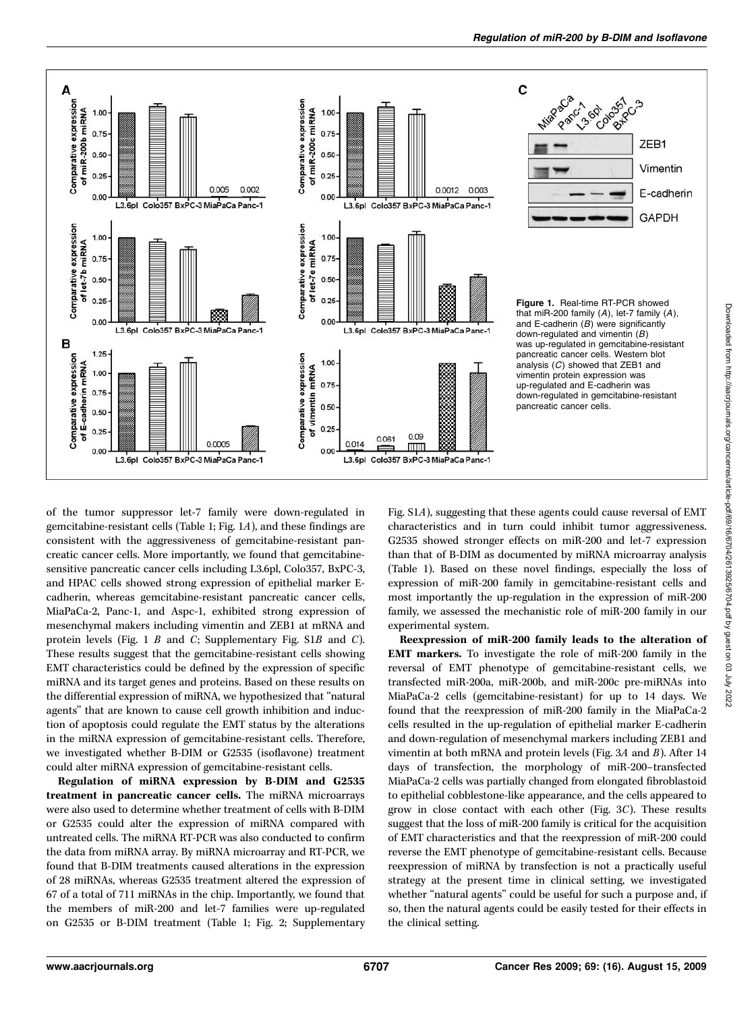

of the tumor suppressor let-7 family were down-regulated in gemcitabine-resistant cells (Table 1; Fig. 1A), and these findings are consistent with the aggressiveness of gemcitabine-resistant pancreatic cancer cells. More importantly, we found that gemcitabinesensitive pancreatic cancer cells including L3.6pl, Colo357, BxPC-3, and HPAC cells showed strong expression of epithelial marker Ecadherin, whereas gemcitabine-resistant pancreatic cancer cells, MiaPaCa-2, Panc-1, and Aspc-1, exhibited strong expression of mesenchymal makers including vimentin and ZEB1 at mRNA and protein levels (Fig. 1 B and C; Supplementary Fig. S1B and C). These results suggest that the gemcitabine-resistant cells showing EMT characteristics could be defined by the expression of specific miRNA and its target genes and proteins. Based on these results on the differential expression of miRNA, we hypothesized that ''natural agents'' that are known to cause cell growth inhibition and induction of apoptosis could regulate the EMT status by the alterations in the miRNA expression of gemcitabine-resistant cells. Therefore, we investigated whether B-DIM or G2535 (isoflavone) treatment could alter miRNA expression of gemcitabine-resistant cells.

Regulation of miRNA expression by B-DIM and G2535 treatment in pancreatic cancer cells. The miRNA microarrays were also used to determine whether treatment of cells with B-DIM or G2535 could alter the expression of miRNA compared with untreated cells. The miRNA RT-PCR was also conducted to confirm the data from miRNA array. By miRNA microarray and RT-PCR, we found that B-DIM treatments caused alterations in the expression of 28 miRNAs, whereas G2535 treatment altered the expression of 67 of a total of 711 miRNAs in the chip. Importantly, we found that the members of miR-200 and let-7 families were up-regulated on G2535 or B-DIM treatment (Table 1; Fig. 2; Supplementary

Fig. S1A), suggesting that these agents could cause reversal of EMT characteristics and in turn could inhibit tumor aggressiveness. G2535 showed stronger effects on miR-200 and let-7 expression than that of B-DIM as documented by miRNA microarray analysis (Table 1). Based on these novel findings, especially the loss of expression of miR-200 family in gemcitabine-resistant cells and most importantly the up-regulation in the expression of miR-200 family, we assessed the mechanistic role of miR-200 family in our experimental system.

Reexpression of miR-200 family leads to the alteration of EMT markers. To investigate the role of miR-200 family in the reversal of EMT phenotype of gemcitabine-resistant cells, we transfected miR-200a, miR-200b, and miR-200c pre-miRNAs into MiaPaCa-2 cells (gemcitabine-resistant) for up to 14 days. We found that the reexpression of miR-200 family in the MiaPaCa-2 cells resulted in the up-regulation of epithelial marker E-cadherin and down-regulation of mesenchymal markers including ZEB1 and vimentin at both mRNA and protein levels (Fig. 3A and B). After 14 days of transfection, the morphology of miR-200–transfected MiaPaCa-2 cells was partially changed from elongated fibroblastoid to epithelial cobblestone-like appearance, and the cells appeared to grow in close contact with each other (Fig. 3C). These results suggest that the loss of miR-200 family is critical for the acquisition of EMT characteristics and that the reexpression of miR-200 could reverse the EMT phenotype of gemcitabine-resistant cells. Because reexpression of miRNA by transfection is not a practically useful strategy at the present time in clinical setting, we investigated whether "natural agents" could be useful for such a purpose and, if so, then the natural agents could be easily tested for their effects in the clinical setting.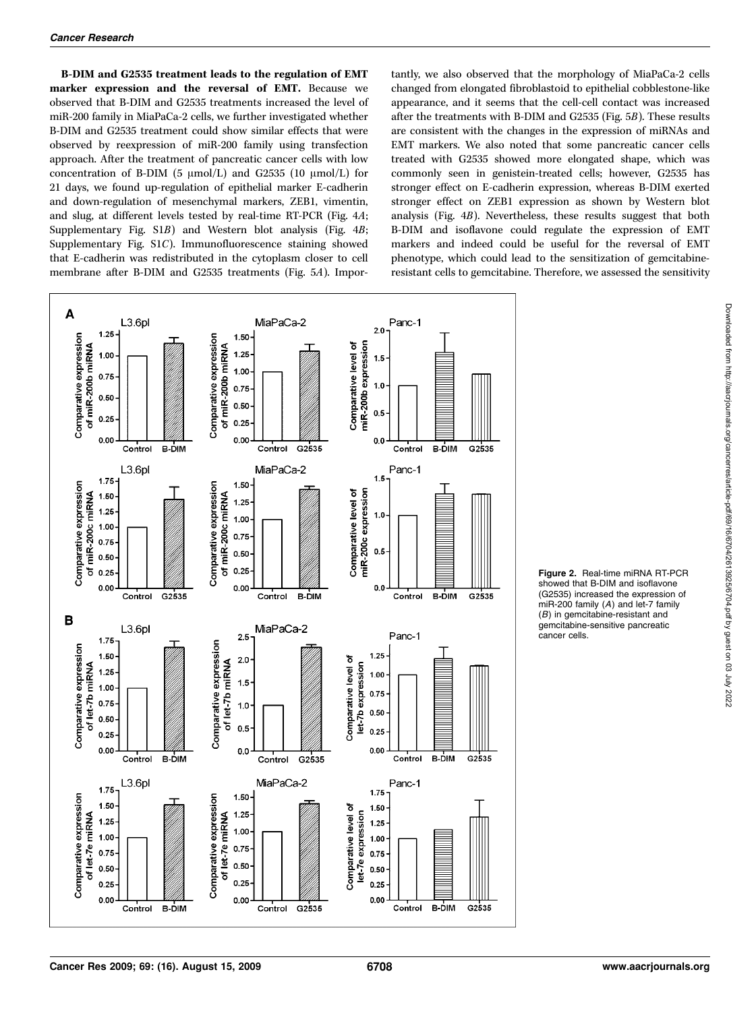B-DIM and G2535 treatment leads to the regulation of EMT marker expression and the reversal of EMT. Because we observed that B-DIM and G2535 treatments increased the level of miR-200 family in MiaPaCa-2 cells, we further investigated whether B-DIM and G2535 treatment could show similar effects that were observed by reexpression of miR-200 family using transfection approach. After the treatment of pancreatic cancer cells with low concentration of B-DIM (5  $\mu$ mol/L) and G2535 (10  $\mu$ mol/L) for 21 days, we found up-regulation of epithelial marker E-cadherin and down-regulation of mesenchymal markers, ZEB1, vimentin, and slug, at different levels tested by real-time RT-PCR (Fig. 4A; Supplementary Fig. S1B) and Western blot analysis (Fig. 4B; Supplementary Fig. S1C). Immunofluorescence staining showed that E-cadherin was redistributed in the cytoplasm closer to cell membrane after B-DIM and G2535 treatments (Fig. 5A). Importantly, we also observed that the morphology of MiaPaCa-2 cells changed from elongated fibroblastoid to epithelial cobblestone-like appearance, and it seems that the cell-cell contact was increased after the treatments with B-DIM and G2535 (Fig. 5B). These results are consistent with the changes in the expression of miRNAs and EMT markers. We also noted that some pancreatic cancer cells treated with G2535 showed more elongated shape, which was commonly seen in genistein-treated cells; however, G2535 has stronger effect on E-cadherin expression, whereas B-DIM exerted stronger effect on ZEB1 expression as shown by Western blot analysis (Fig. 4B). Nevertheless, these results suggest that both B-DIM and isoflavone could regulate the expression of EMT markers and indeed could be useful for the reversal of EMT phenotype, which could lead to the sensitization of gemcitabineresistant cells to gemcitabine. Therefore, we assessed the sensitivity



Figure 2. Real-time miRNA RT-PCR showed that B-DIM and isoflavone (G2535) increased the expression of miR-200 family (A) and let-7 family (B) in gemcitabine-resistant and gemcitabine-sensitive pancreatic cancer cells.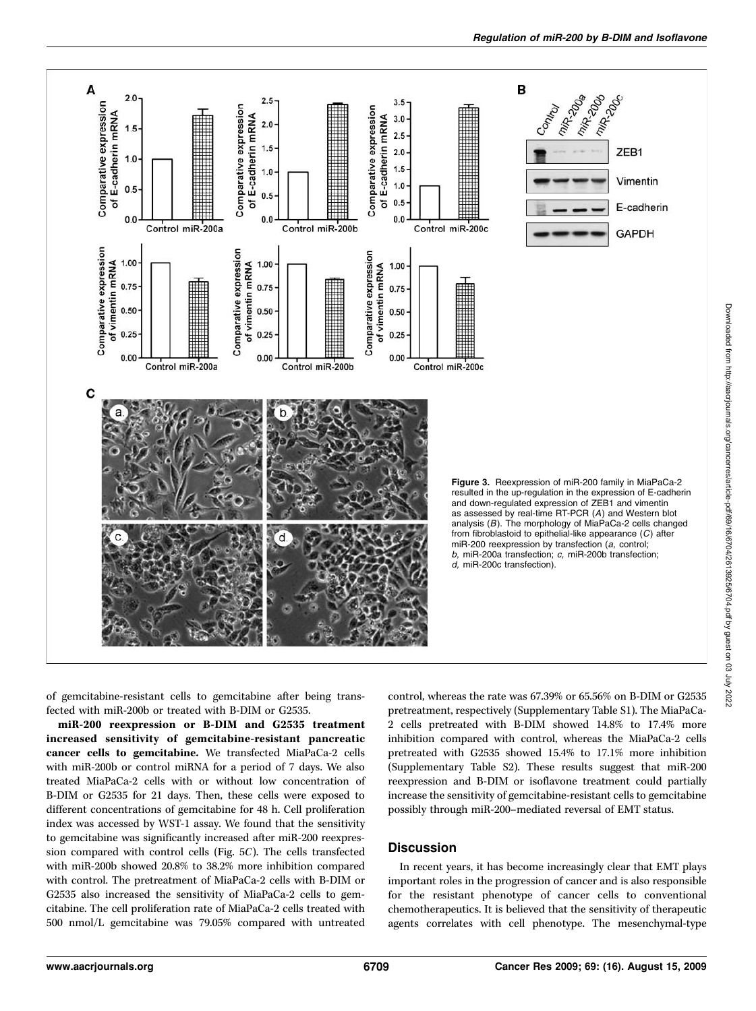

Regulation of miR-200 by B-DIM and Isoflavone

of gemcitabine-resistant cells to gemcitabine after being transfected with miR-200b or treated with B-DIM or G2535.

miR-200 reexpression or B-DIM and G2535 treatment increased sensitivity of gemcitabine-resistant pancreatic cancer cells to gemcitabine. We transfected MiaPaCa-2 cells with miR-200b or control miRNA for a period of 7 days. We also treated MiaPaCa-2 cells with or without low concentration of B-DIM or G2535 for 21 days. Then, these cells were exposed to different concentrations of gemcitabine for 48 h. Cell proliferation index was accessed by WST-1 assay. We found that the sensitivity to gemcitabine was significantly increased after miR-200 reexpression compared with control cells (Fig. 5C). The cells transfected with miR-200b showed 20.8% to 38.2% more inhibition compared with control. The pretreatment of MiaPaCa-2 cells with B-DIM or G2535 also increased the sensitivity of MiaPaCa-2 cells to gemcitabine. The cell proliferation rate of MiaPaCa-2 cells treated with 500 nmol/L gemcitabine was 79.05% compared with untreated

control, whereas the rate was 67.39% or 65.56% on B-DIM or G2535 pretreatment, respectively (Supplementary Table S1). The MiaPaCa-2 cells pretreated with B-DIM showed 14.8% to 17.4% more inhibition compared with control, whereas the MiaPaCa-2 cells pretreated with G2535 showed 15.4% to 17.1% more inhibition (Supplementary Table S2). These results suggest that miR-200 reexpression and B-DIM or isoflavone treatment could partially increase the sensitivity of gemcitabine-resistant cells to gemcitabine possibly through miR-200–mediated reversal of EMT status.

## **Discussion**

In recent years, it has become increasingly clear that EMT plays important roles in the progression of cancer and is also responsible for the resistant phenotype of cancer cells to conventional chemotherapeutics. It is believed that the sensitivity of therapeutic agents correlates with cell phenotype. The mesenchymal-type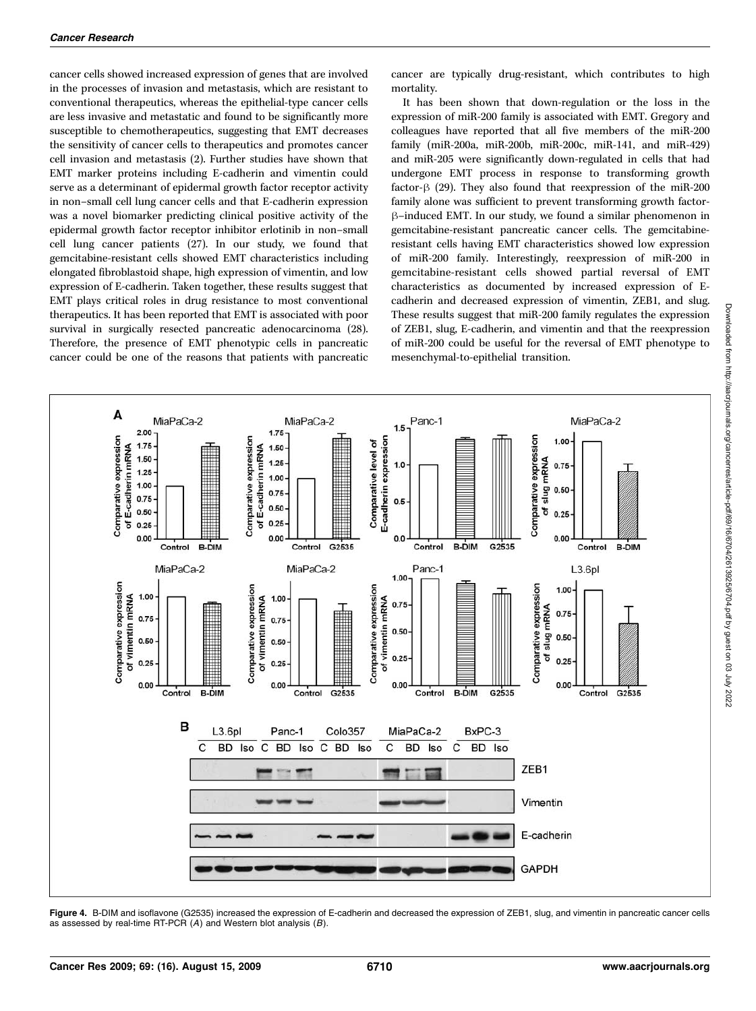cancer cells showed increased expression of genes that are involved in the processes of invasion and metastasis, which are resistant to conventional therapeutics, whereas the epithelial-type cancer cells are less invasive and metastatic and found to be significantly more susceptible to chemotherapeutics, suggesting that EMT decreases the sensitivity of cancer cells to therapeutics and promotes cancer cell invasion and metastasis (2). Further studies have shown that EMT marker proteins including E-cadherin and vimentin could serve as a determinant of epidermal growth factor receptor activity in non–small cell lung cancer cells and that E-cadherin expression was a novel biomarker predicting clinical positive activity of the epidermal growth factor receptor inhibitor erlotinib in non–small cell lung cancer patients (27). In our study, we found that gemcitabine-resistant cells showed EMT characteristics including elongated fibroblastoid shape, high expression of vimentin, and low expression of E-cadherin. Taken together, these results suggest that EMT plays critical roles in drug resistance to most conventional therapeutics. It has been reported that EMT is associated with poor survival in surgically resected pancreatic adenocarcinoma (28). Therefore, the presence of EMT phenotypic cells in pancreatic cancer could be one of the reasons that patients with pancreatic

cancer are typically drug-resistant, which contributes to high mortality.

It has been shown that down-regulation or the loss in the expression of miR-200 family is associated with EMT. Gregory and colleagues have reported that all five members of the miR-200 family (miR-200a, miR-200b, miR-200c, miR-141, and miR-429) and miR-205 were significantly down-regulated in cells that had undergone EMT process in response to transforming growth factor- $\beta$  (29). They also found that reexpression of the miR-200 family alone was sufficient to prevent transforming growth factorh–induced EMT. In our study, we found a similar phenomenon in gemcitabine-resistant pancreatic cancer cells. The gemcitabineresistant cells having EMT characteristics showed low expression of miR-200 family. Interestingly, reexpression of miR-200 in gemcitabine-resistant cells showed partial reversal of EMT characteristics as documented by increased expression of Ecadherin and decreased expression of vimentin, ZEB1, and slug. These results suggest that miR-200 family regulates the expression of ZEB1, slug, E-cadherin, and vimentin and that the reexpression of miR-200 could be useful for the reversal of EMT phenotype to mesenchymal-to-epithelial transition.



Figure 4. B-DIM and isoflavone (G2535) increased the expression of E-cadherin and decreased the expression of ZEB1, slug, and vimentin in pancreatic cancer cells as assessed by real-time RT-PCR  $(A)$  and Western blot analysis  $(B)$ .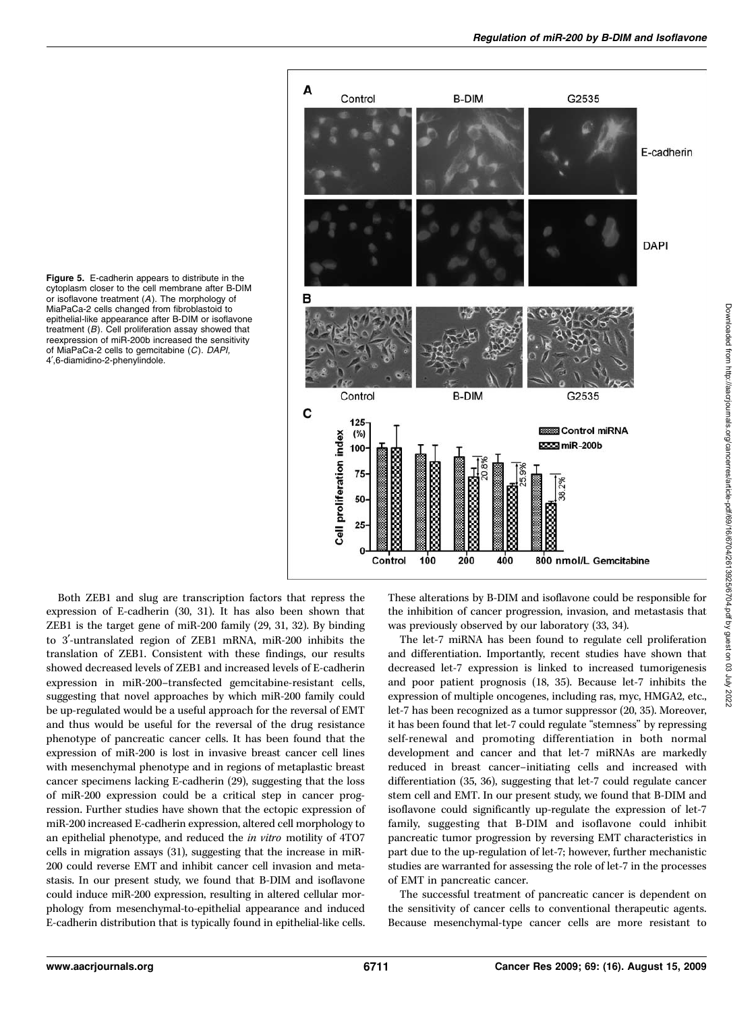Figure 5. E-cadherin appears to distribute in the cytoplasm closer to the cell membrane after B-DIM or isoflavone treatment (A). The morphology of MiaPaCa-2 cells changed from fibroblastoid to epithelial-like appearance after B-DIM or isoflavone treatment (B). Cell proliferation assay showed that reexpression of miR-200b increased the sensitivity of MiaPaCa-2 cells to gemcitabine (C). DAPI, 4',6-diamidino-2-phenylindole.



Both ZEB1 and slug are transcription factors that repress the expression of E-cadherin (30, 31). It has also been shown that ZEB1 is the target gene of miR-200 family (29, 31, 32). By binding to 3'-untranslated region of ZEB1 mRNA, miR-200 inhibits the translation of ZEB1. Consistent with these findings, our results showed decreased levels of ZEB1 and increased levels of E-cadherin expression in miR-200–transfected gemcitabine-resistant cells, suggesting that novel approaches by which miR-200 family could be up-regulated would be a useful approach for the reversal of EMT and thus would be useful for the reversal of the drug resistance phenotype of pancreatic cancer cells. It has been found that the expression of miR-200 is lost in invasive breast cancer cell lines with mesenchymal phenotype and in regions of metaplastic breast cancer specimens lacking E-cadherin (29), suggesting that the loss of miR-200 expression could be a critical step in cancer progression. Further studies have shown that the ectopic expression of miR-200 increased E-cadherin expression, altered cell morphology to an epithelial phenotype, and reduced the in vitro motility of 4TO7 cells in migration assays (31), suggesting that the increase in miR-200 could reverse EMT and inhibit cancer cell invasion and metastasis. In our present study, we found that B-DIM and isoflavone could induce miR-200 expression, resulting in altered cellular morphology from mesenchymal-to-epithelial appearance and induced E-cadherin distribution that is typically found in epithelial-like cells.

These alterations by B-DIM and isoflavone could be responsible for the inhibition of cancer progression, invasion, and metastasis that was previously observed by our laboratory (33, 34).

The let-7 miRNA has been found to regulate cell proliferation and differentiation. Importantly, recent studies have shown that decreased let-7 expression is linked to increased tumorigenesis and poor patient prognosis (18, 35). Because let-7 inhibits the expression of multiple oncogenes, including ras, myc, HMGA2, etc., let-7 has been recognized as a tumor suppressor (20, 35). Moreover, it has been found that let-7 could regulate "stemness" by repressing self-renewal and promoting differentiation in both normal development and cancer and that let-7 miRNAs are markedly reduced in breast cancer–initiating cells and increased with differentiation (35, 36), suggesting that let-7 could regulate cancer stem cell and EMT. In our present study, we found that B-DIM and isoflavone could significantly up-regulate the expression of let-7 family, suggesting that B-DIM and isoflavone could inhibit pancreatic tumor progression by reversing EMT characteristics in part due to the up-regulation of let-7; however, further mechanistic studies are warranted for assessing the role of let-7 in the processes of EMT in pancreatic cancer.

The successful treatment of pancreatic cancer is dependent on the sensitivity of cancer cells to conventional therapeutic agents. Because mesenchymal-type cancer cells are more resistant to